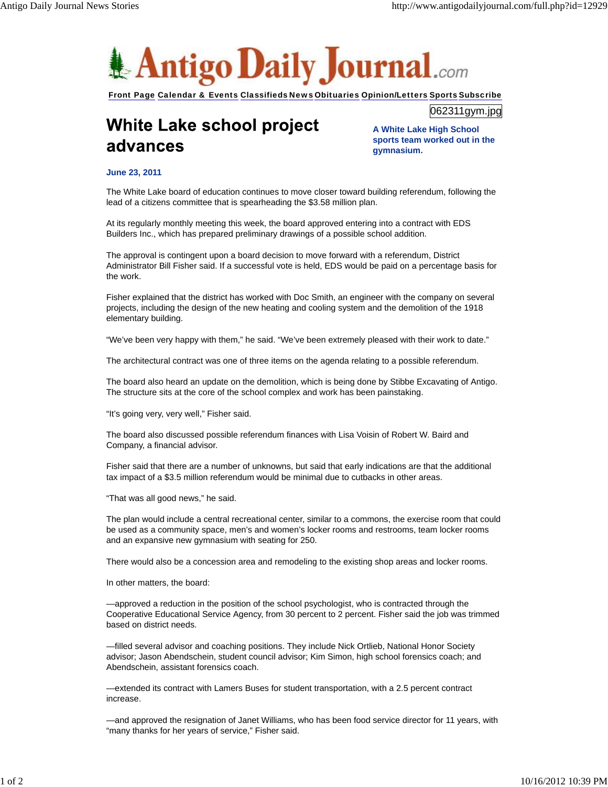

Front Page Calendar & Events Classifieds News Obituaries Opinion/Letters Sports Subscribe

## White Lake school project advances

**A White Lake High School sports team worked out in the gymnasium.**

062311gym.jpg

## **June 23, 2011**

The White Lake board of education continues to move closer toward building referendum, following the lead of a citizens committee that is spearheading the \$3.58 million plan.

At its regularly monthly meeting this week, the board approved entering into a contract with EDS Builders Inc., which has prepared preliminary drawings of a possible school addition.

The approval is contingent upon a board decision to move forward with a referendum, District Administrator Bill Fisher said. If a successful vote is held, EDS would be paid on a percentage basis for the work.

Fisher explained that the district has worked with Doc Smith, an engineer with the company on several projects, including the design of the new heating and cooling system and the demolition of the 1918 elementary building.

"We've been very happy with them," he said. "We've been extremely pleased with their work to date."

The architectural contract was one of three items on the agenda relating to a possible referendum.

The board also heard an update on the demolition, which is being done by Stibbe Excavating of Antigo. The structure sits at the core of the school complex and work has been painstaking.

"It's going very, very well," Fisher said.

The board also discussed possible referendum finances with Lisa Voisin of Robert W. Baird and Company, a financial advisor.

Fisher said that there are a number of unknowns, but said that early indications are that the additional tax impact of a \$3.5 million referendum would be minimal due to cutbacks in other areas.

"That was all good news," he said.

The plan would include a central recreational center, similar to a commons, the exercise room that could be used as a community space, men's and women's locker rooms and restrooms, team locker rooms and an expansive new gymnasium with seating for 250.

There would also be a concession area and remodeling to the existing shop areas and locker rooms.

In other matters, the board:

—approved a reduction in the position of the school psychologist, who is contracted through the Cooperative Educational Service Agency, from 30 percent to 2 percent. Fisher said the job was trimmed based on district needs.

—filled several advisor and coaching positions. They include Nick Ortlieb, National Honor Society advisor; Jason Abendschein, student council advisor; Kim Simon, high school forensics coach; and Abendschein, assistant forensics coach.

—extended its contract with Lamers Buses for student transportation, with a 2.5 percent contract increase.

—and approved the resignation of Janet Williams, who has been food service director for 11 years, with "many thanks for her years of service," Fisher said.